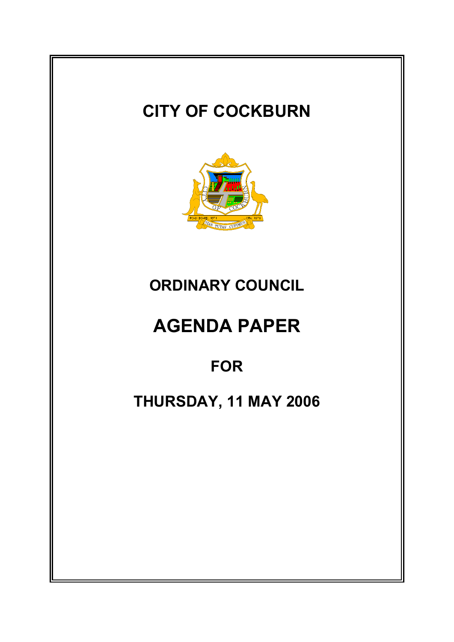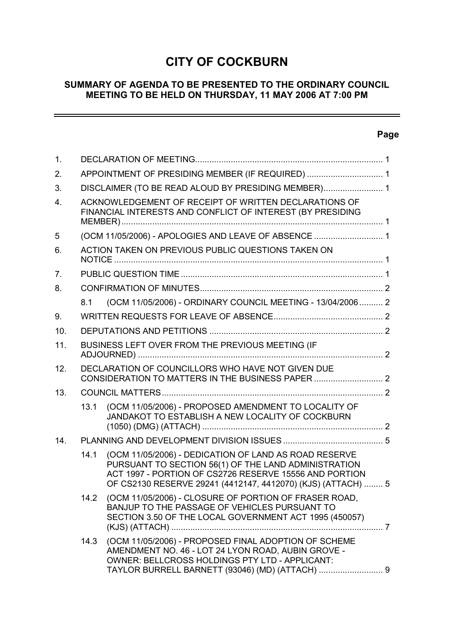# **CITY OF COCKBURN**

### **SUMMARY OF AGENDA TO BE PRESENTED TO THE ORDINARY COUNCIL MEETING TO BE HELD ON THURSDAY, 11 MAY 2006 AT 7:00 PM**

### **Page**

 $\overline{\phantom{a}}$ 

| $\mathbf 1$ .    |                                                      |                                                                                                                                                                                                                                         |  |  |  |  |
|------------------|------------------------------------------------------|-----------------------------------------------------------------------------------------------------------------------------------------------------------------------------------------------------------------------------------------|--|--|--|--|
| 2.               |                                                      | APPOINTMENT OF PRESIDING MEMBER (IF REQUIRED)  1                                                                                                                                                                                        |  |  |  |  |
| 3.               |                                                      | DISCLAIMER (TO BE READ ALOUD BY PRESIDING MEMBER) 1                                                                                                                                                                                     |  |  |  |  |
| $\overline{4}$ . |                                                      | ACKNOWLEDGEMENT OF RECEIPT OF WRITTEN DECLARATIONS OF<br>FINANCIAL INTERESTS AND CONFLICT OF INTEREST (BY PRESIDING                                                                                                                     |  |  |  |  |
| 5                | (OCM 11/05/2006) - APOLOGIES AND LEAVE OF ABSENCE  1 |                                                                                                                                                                                                                                         |  |  |  |  |
| 6.               |                                                      | ACTION TAKEN ON PREVIOUS PUBLIC QUESTIONS TAKEN ON                                                                                                                                                                                      |  |  |  |  |
| 7 <sub>1</sub>   |                                                      |                                                                                                                                                                                                                                         |  |  |  |  |
| 8.               |                                                      |                                                                                                                                                                                                                                         |  |  |  |  |
|                  | 8.1                                                  | (OCM 11/05/2006) - ORDINARY COUNCIL MEETING - 13/04/2006 2                                                                                                                                                                              |  |  |  |  |
| 9.               |                                                      |                                                                                                                                                                                                                                         |  |  |  |  |
| 10.              |                                                      |                                                                                                                                                                                                                                         |  |  |  |  |
| 11.              |                                                      | BUSINESS LEFT OVER FROM THE PREVIOUS MEETING (IF                                                                                                                                                                                        |  |  |  |  |
| 12.              |                                                      | DECLARATION OF COUNCILLORS WHO HAVE NOT GIVEN DUE<br>CONSIDERATION TO MATTERS IN THE BUSINESS PAPER  2                                                                                                                                  |  |  |  |  |
| 13.              |                                                      |                                                                                                                                                                                                                                         |  |  |  |  |
|                  | 13.1                                                 | (OCM 11/05/2006) - PROPOSED AMENDMENT TO LOCALITY OF<br>JANDAKOT TO ESTABLISH A NEW LOCALITY OF COCKBURN                                                                                                                                |  |  |  |  |
| 14.              |                                                      |                                                                                                                                                                                                                                         |  |  |  |  |
|                  | 14.1                                                 | (OCM 11/05/2006) - DEDICATION OF LAND AS ROAD RESERVE<br>PURSUANT TO SECTION 56(1) OF THE LAND ADMINISTRATION<br>ACT 1997 - PORTION OF CS2726 RESERVE 15556 AND PORTION<br>OF CS2130 RESERVE 29241 (4412147, 4412070) (KJS) (ATTACH)  5 |  |  |  |  |
|                  | 14.2                                                 | (OCM 11/05/2006) - CLOSURE OF PORTION OF FRASER ROAD,<br>BANJUP TO THE PASSAGE OF VEHICLES PURSUANT TO<br>SECTION 3.50 OF THE LOCAL GOVERNMENT ACT 1995 (450057)                                                                        |  |  |  |  |
|                  | 14.3                                                 | (OCM 11/05/2006) - PROPOSED FINAL ADOPTION OF SCHEME<br>AMENDMENT NO. 46 - LOT 24 LYON ROAD, AUBIN GROVE -<br>OWNER: BELLCROSS HOLDINGS PTY LTD - APPLICANT:<br>TAYLOR BURRELL BARNETT (93046) (MD) (ATTACH)  9                         |  |  |  |  |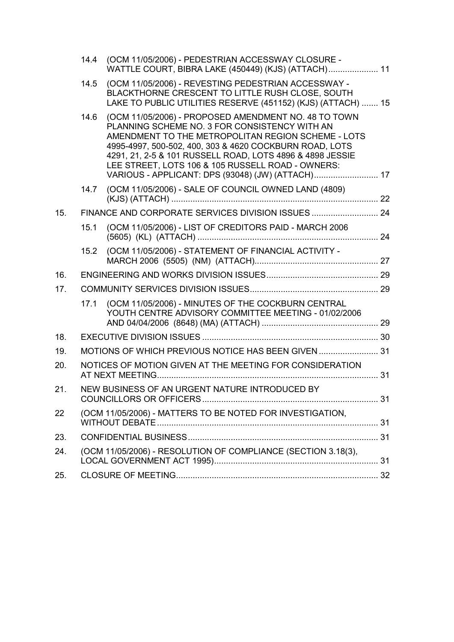|     | 14.4                                                      | (OCM 11/05/2006) - PEDESTRIAN ACCESSWAY CLOSURE -<br>WATTLE COURT, BIBRA LAKE (450449) (KJS) (ATTACH) 11                                                                                                                                                                                                                                                                                      |  |  |
|-----|-----------------------------------------------------------|-----------------------------------------------------------------------------------------------------------------------------------------------------------------------------------------------------------------------------------------------------------------------------------------------------------------------------------------------------------------------------------------------|--|--|
|     | 14.5                                                      | (OCM 11/05/2006) - REVESTING PEDESTRIAN ACCESSWAY -<br>BLACKTHORNE CRESCENT TO LITTLE RUSH CLOSE, SOUTH<br>LAKE TO PUBLIC UTILITIES RESERVE (451152) (KJS) (ATTACH)  15                                                                                                                                                                                                                       |  |  |
|     | 14.6                                                      | (OCM 11/05/2006) - PROPOSED AMENDMENT NO. 48 TO TOWN<br>PLANNING SCHEME NO. 3 FOR CONSISTENCY WITH AN<br>AMENDMENT TO THE METROPOLITAN REGION SCHEME - LOTS<br>4995-4997, 500-502, 400, 303 & 4620 COCKBURN ROAD, LOTS<br>4291, 21, 2-5 & 101 RUSSELL ROAD, LOTS 4896 & 4898 JESSIE<br>LEE STREET, LOTS 106 & 105 RUSSELL ROAD - OWNERS:<br>VARIOUS - APPLICANT: DPS (93048) (JW) (ATTACH) 17 |  |  |
|     | 14.7                                                      | (OCM 11/05/2006) - SALE OF COUNCIL OWNED LAND (4809)                                                                                                                                                                                                                                                                                                                                          |  |  |
| 15. |                                                           |                                                                                                                                                                                                                                                                                                                                                                                               |  |  |
|     | 15.1                                                      | (OCM 11/05/2006) - LIST OF CREDITORS PAID - MARCH 2006                                                                                                                                                                                                                                                                                                                                        |  |  |
|     | 15.2                                                      | (OCM 11/05/2006) - STATEMENT OF FINANCIAL ACTIVITY -                                                                                                                                                                                                                                                                                                                                          |  |  |
| 16. |                                                           |                                                                                                                                                                                                                                                                                                                                                                                               |  |  |
| 17. |                                                           |                                                                                                                                                                                                                                                                                                                                                                                               |  |  |
|     | 17.1                                                      | (OCM 11/05/2006) - MINUTES OF THE COCKBURN CENTRAL<br>YOUTH CENTRE ADVISORY COMMITTEE MEETING - 01/02/2006                                                                                                                                                                                                                                                                                    |  |  |
| 18. |                                                           |                                                                                                                                                                                                                                                                                                                                                                                               |  |  |
| 19. |                                                           | MOTIONS OF WHICH PREVIOUS NOTICE HAS BEEN GIVEN  31                                                                                                                                                                                                                                                                                                                                           |  |  |
| 20. | NOTICES OF MOTION GIVEN AT THE MEETING FOR CONSIDERATION  |                                                                                                                                                                                                                                                                                                                                                                                               |  |  |
| 21. |                                                           | NEW BUSINESS OF AN URGENT NATURE INTRODUCED BY                                                                                                                                                                                                                                                                                                                                                |  |  |
| 22  | (OCM 11/05/2006) - MATTERS TO BE NOTED FOR INVESTIGATION, |                                                                                                                                                                                                                                                                                                                                                                                               |  |  |
| 23. |                                                           |                                                                                                                                                                                                                                                                                                                                                                                               |  |  |
| 24. |                                                           | (OCM 11/05/2006) - RESOLUTION OF COMPLIANCE (SECTION 3.18(3),                                                                                                                                                                                                                                                                                                                                 |  |  |
| 25. |                                                           |                                                                                                                                                                                                                                                                                                                                                                                               |  |  |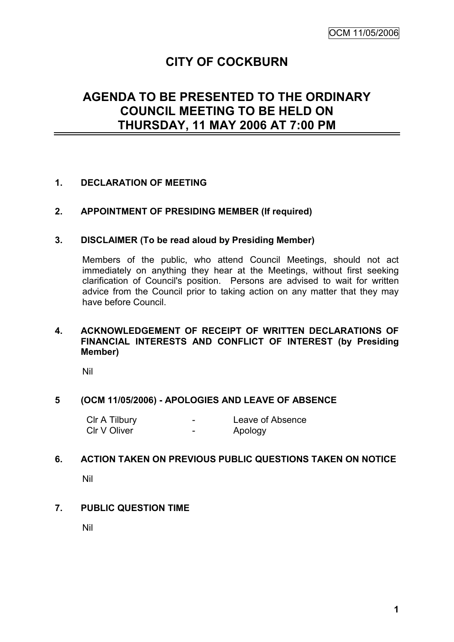# **CITY OF COCKBURN**

# **AGENDA TO BE PRESENTED TO THE ORDINARY COUNCIL MEETING TO BE HELD ON THURSDAY, 11 MAY 2006 AT 7:00 PM**

### **1. DECLARATION OF MEETING**

#### **2. APPOINTMENT OF PRESIDING MEMBER (If required)**

#### **3. DISCLAIMER (To be read aloud by Presiding Member)**

Members of the public, who attend Council Meetings, should not act immediately on anything they hear at the Meetings, without first seeking clarification of Council's position. Persons are advised to wait for written advice from the Council prior to taking action on any matter that they may have before Council.

#### **4. ACKNOWLEDGEMENT OF RECEIPT OF WRITTEN DECLARATIONS OF FINANCIAL INTERESTS AND CONFLICT OF INTEREST (by Presiding Member)**

Nil

#### **5 (OCM 11/05/2006) - APOLOGIES AND LEAVE OF ABSENCE**

| CIr A Tilbury | - | Leave of Absence |
|---------------|---|------------------|
| CIr V Oliver  | - | Apology          |

#### **6. ACTION TAKEN ON PREVIOUS PUBLIC QUESTIONS TAKEN ON NOTICE**

Nil

#### **7. PUBLIC QUESTION TIME**

Nil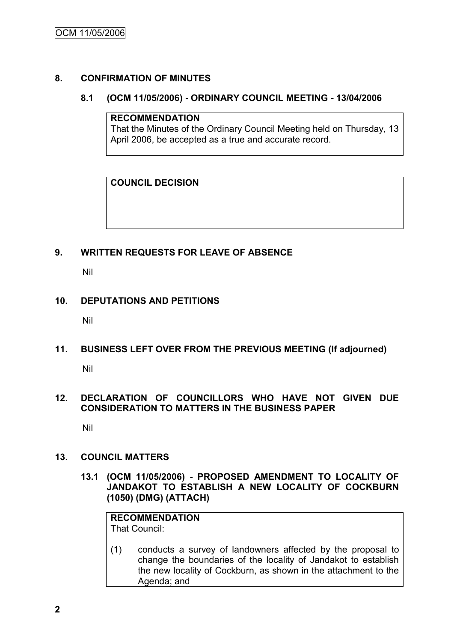#### **8. CONFIRMATION OF MINUTES**

#### **8.1 (OCM 11/05/2006) - ORDINARY COUNCIL MEETING - 13/04/2006**

#### **RECOMMENDATION**

That the Minutes of the Ordinary Council Meeting held on Thursday, 13 April 2006, be accepted as a true and accurate record.

### **COUNCIL DECISION**

### **9. WRITTEN REQUESTS FOR LEAVE OF ABSENCE**

Nil

### **10. DEPUTATIONS AND PETITIONS**

Nil

**11. BUSINESS LEFT OVER FROM THE PREVIOUS MEETING (If adjourned)**

Nil

### **12. DECLARATION OF COUNCILLORS WHO HAVE NOT GIVEN DUE CONSIDERATION TO MATTERS IN THE BUSINESS PAPER**

Nil

#### **13. COUNCIL MATTERS**

**13.1 (OCM 11/05/2006) - PROPOSED AMENDMENT TO LOCALITY OF JANDAKOT TO ESTABLISH A NEW LOCALITY OF COCKBURN (1050) (DMG) (ATTACH)**

## **RECOMMENDATION**

That Council:

(1) conducts a survey of landowners affected by the proposal to change the boundaries of the locality of Jandakot to establish the new locality of Cockburn, as shown in the attachment to the Agenda; and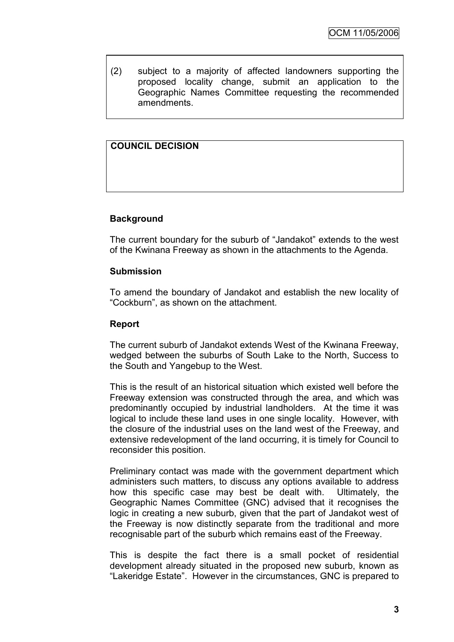(2) subject to a majority of affected landowners supporting the proposed locality change, submit an application to the Geographic Names Committee requesting the recommended amendments.

### **COUNCIL DECISION**

### **Background**

The current boundary for the suburb of "Jandakot" extends to the west of the Kwinana Freeway as shown in the attachments to the Agenda.

#### **Submission**

To amend the boundary of Jandakot and establish the new locality of "Cockburn", as shown on the attachment.

#### **Report**

The current suburb of Jandakot extends West of the Kwinana Freeway, wedged between the suburbs of South Lake to the North, Success to the South and Yangebup to the West.

This is the result of an historical situation which existed well before the Freeway extension was constructed through the area, and which was predominantly occupied by industrial landholders. At the time it was logical to include these land uses in one single locality. However, with the closure of the industrial uses on the land west of the Freeway, and extensive redevelopment of the land occurring, it is timely for Council to reconsider this position.

Preliminary contact was made with the government department which administers such matters, to discuss any options available to address how this specific case may best be dealt with. Ultimately, the Geographic Names Committee (GNC) advised that it recognises the logic in creating a new suburb, given that the part of Jandakot west of the Freeway is now distinctly separate from the traditional and more recognisable part of the suburb which remains east of the Freeway.

This is despite the fact there is a small pocket of residential development already situated in the proposed new suburb, known as "Lakeridge Estate". However in the circumstances, GNC is prepared to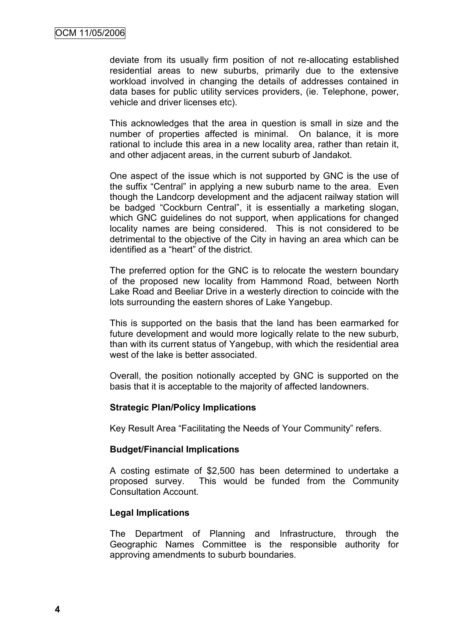deviate from its usually firm position of not re-allocating established residential areas to new suburbs, primarily due to the extensive workload involved in changing the details of addresses contained in data bases for public utility services providers, (ie. Telephone, power, vehicle and driver licenses etc).

This acknowledges that the area in question is small in size and the number of properties affected is minimal. On balance, it is more rational to include this area in a new locality area, rather than retain it, and other adjacent areas, in the current suburb of Jandakot.

One aspect of the issue which is not supported by GNC is the use of the suffix "Central" in applying a new suburb name to the area. Even though the Landcorp development and the adjacent railway station will be badged "Cockburn Central", it is essentially a marketing slogan, which GNC guidelines do not support, when applications for changed locality names are being considered. This is not considered to be detrimental to the objective of the City in having an area which can be identified as a "heart" of the district.

The preferred option for the GNC is to relocate the western boundary of the proposed new locality from Hammond Road, between North Lake Road and Beeliar Drive in a westerly direction to coincide with the lots surrounding the eastern shores of Lake Yangebup.

This is supported on the basis that the land has been earmarked for future development and would more logically relate to the new suburb, than with its current status of Yangebup, with which the residential area west of the lake is better associated.

Overall, the position notionally accepted by GNC is supported on the basis that it is acceptable to the majority of affected landowners.

#### **Strategic Plan/Policy Implications**

Key Result Area "Facilitating the Needs of Your Community" refers.

#### **Budget/Financial Implications**

A costing estimate of \$2,500 has been determined to undertake a proposed survey. This would be funded from the Community Consultation Account.

#### **Legal Implications**

The Department of Planning and Infrastructure, through the Geographic Names Committee is the responsible authority for approving amendments to suburb boundaries.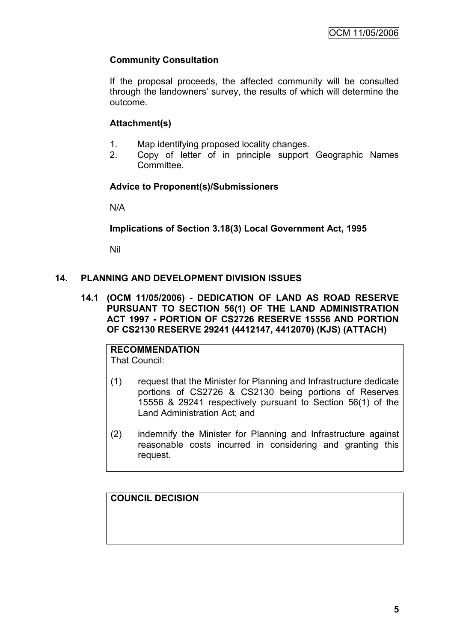### **Community Consultation**

If the proposal proceeds, the affected community will be consulted through the landowners" survey, the results of which will determine the outcome.

#### **Attachment(s)**

- 1. Map identifying proposed locality changes.
- 2. Copy of letter of in principle support Geographic Names **Committee.**

### **Advice to Proponent(s)/Submissioners**

N/A

### **Implications of Section 3.18(3) Local Government Act, 1995**

Nil

### **14. PLANNING AND DEVELOPMENT DIVISION ISSUES**

**14.1 (OCM 11/05/2006) - DEDICATION OF LAND AS ROAD RESERVE PURSUANT TO SECTION 56(1) OF THE LAND ADMINISTRATION ACT 1997 - PORTION OF CS2726 RESERVE 15556 AND PORTION OF CS2130 RESERVE 29241 (4412147, 4412070) (KJS) (ATTACH)**

**RECOMMENDATION** That Council:

- (1) request that the Minister for Planning and Infrastructure dedicate portions of CS2726 & CS2130 being portions of Reserves 15556 & 29241 respectively pursuant to Section 56(1) of the Land Administration Act; and
- (2) indemnify the Minister for Planning and Infrastructure against reasonable costs incurred in considering and granting this request.

**COUNCIL DECISION**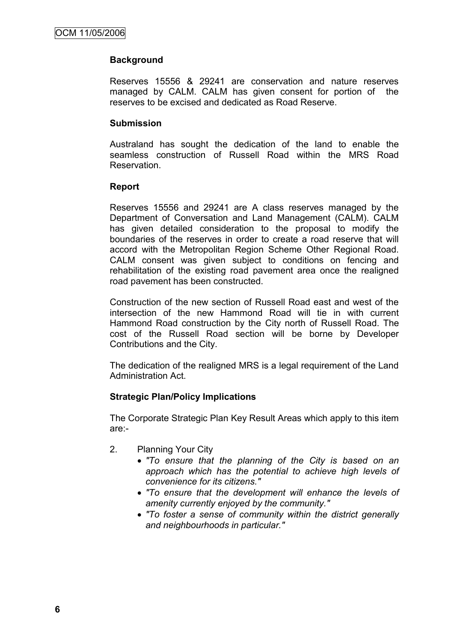### **Background**

Reserves 15556 & 29241 are conservation and nature reserves managed by CALM. CALM has given consent for portion of the reserves to be excised and dedicated as Road Reserve.

#### **Submission**

Australand has sought the dedication of the land to enable the seamless construction of Russell Road within the MRS Road **Reservation** 

#### **Report**

Reserves 15556 and 29241 are A class reserves managed by the Department of Conversation and Land Management (CALM). CALM has given detailed consideration to the proposal to modify the boundaries of the reserves in order to create a road reserve that will accord with the Metropolitan Region Scheme Other Regional Road. CALM consent was given subject to conditions on fencing and rehabilitation of the existing road pavement area once the realigned road pavement has been constructed.

Construction of the new section of Russell Road east and west of the intersection of the new Hammond Road will tie in with current Hammond Road construction by the City north of Russell Road. The cost of the Russell Road section will be borne by Developer Contributions and the City.

The dedication of the realigned MRS is a legal requirement of the Land Administration Act.

#### **Strategic Plan/Policy Implications**

The Corporate Strategic Plan Key Result Areas which apply to this item are:-

- 2. Planning Your City
	- *"To ensure that the planning of the City is based on an approach which has the potential to achieve high levels of convenience for its citizens."*
	- *"To ensure that the development will enhance the levels of amenity currently enjoyed by the community."*
	- *"To foster a sense of community within the district generally and neighbourhoods in particular."*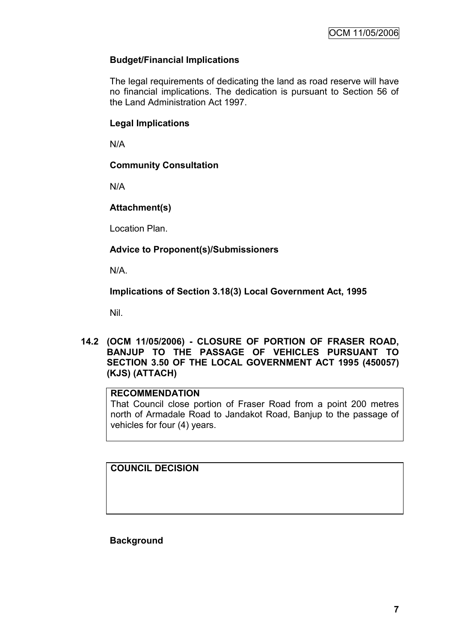### **Budget/Financial Implications**

The legal requirements of dedicating the land as road reserve will have no financial implications. The dedication is pursuant to Section 56 of the Land Administration Act 1997.

### **Legal Implications**

N/A

### **Community Consultation**

N/A

### **Attachment(s)**

Location Plan.

### **Advice to Proponent(s)/Submissioners**

N/A.

### **Implications of Section 3.18(3) Local Government Act, 1995**

Nil.

### **14.2 (OCM 11/05/2006) - CLOSURE OF PORTION OF FRASER ROAD, BANJUP TO THE PASSAGE OF VEHICLES PURSUANT TO SECTION 3.50 OF THE LOCAL GOVERNMENT ACT 1995 (450057) (KJS) (ATTACH)**

### **RECOMMENDATION**

That Council close portion of Fraser Road from a point 200 metres north of Armadale Road to Jandakot Road, Banjup to the passage of vehicles for four (4) years.

**COUNCIL DECISION**

**Background**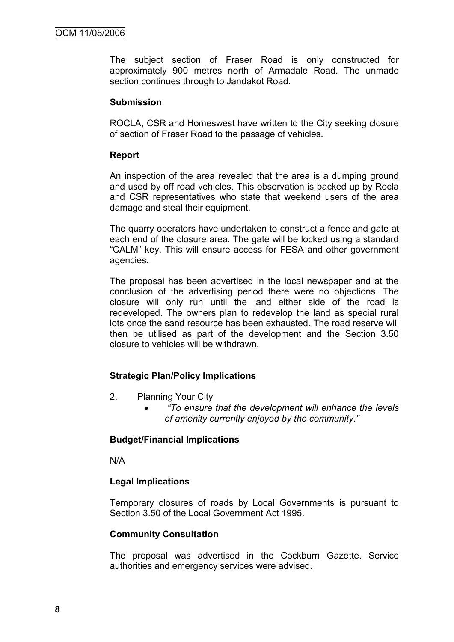The subject section of Fraser Road is only constructed for approximately 900 metres north of Armadale Road. The unmade section continues through to Jandakot Road.

#### **Submission**

ROCLA, CSR and Homeswest have written to the City seeking closure of section of Fraser Road to the passage of vehicles.

#### **Report**

An inspection of the area revealed that the area is a dumping ground and used by off road vehicles. This observation is backed up by Rocla and CSR representatives who state that weekend users of the area damage and steal their equipment.

The quarry operators have undertaken to construct a fence and gate at each end of the closure area. The gate will be locked using a standard "CALM" key. This will ensure access for FESA and other government agencies.

The proposal has been advertised in the local newspaper and at the conclusion of the advertising period there were no objections. The closure will only run until the land either side of the road is redeveloped. The owners plan to redevelop the land as special rural lots once the sand resource has been exhausted. The road reserve will then be utilised as part of the development and the Section 3.50 closure to vehicles will be withdrawn.

#### **Strategic Plan/Policy Implications**

- 2. Planning Your City
	- *"To ensure that the development will enhance the levels of amenity currently enjoyed by the community."*

#### **Budget/Financial Implications**

N/A

#### **Legal Implications**

Temporary closures of roads by Local Governments is pursuant to Section 3.50 of the Local Government Act 1995.

#### **Community Consultation**

The proposal was advertised in the Cockburn Gazette. Service authorities and emergency services were advised.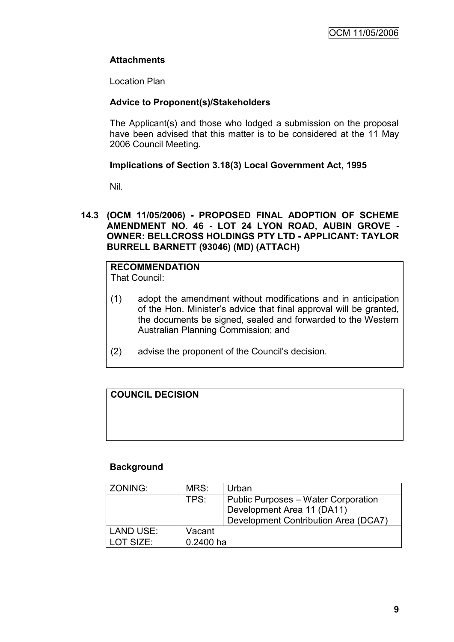### **Attachments**

Location Plan

### **Advice to Proponent(s)/Stakeholders**

The Applicant(s) and those who lodged a submission on the proposal have been advised that this matter is to be considered at the 11 May 2006 Council Meeting.

### **Implications of Section 3.18(3) Local Government Act, 1995**

Nil.

#### **14.3 (OCM 11/05/2006) - PROPOSED FINAL ADOPTION OF SCHEME AMENDMENT NO. 46 - LOT 24 LYON ROAD, AUBIN GROVE - OWNER: BELLCROSS HOLDINGS PTY LTD - APPLICANT: TAYLOR BURRELL BARNETT (93046) (MD) (ATTACH)**

#### **RECOMMENDATION** That Council:

- (1) adopt the amendment without modifications and in anticipation of the Hon. Minister"s advice that final approval will be granted, the documents be signed, sealed and forwarded to the Western Australian Planning Commission; and
- (2) advise the proponent of the Council"s decision.

### **COUNCIL DECISION**

#### **Background**

| ZONING:          | MRS:      | Urban                                |
|------------------|-----------|--------------------------------------|
|                  | TPS:      | Public Purposes - Water Corporation  |
|                  |           | Development Area 11 (DA11)           |
|                  |           | Development Contribution Area (DCA7) |
| <b>LAND USE:</b> | Vacant    |                                      |
| LOT SIZE:        | 0.2400 ha |                                      |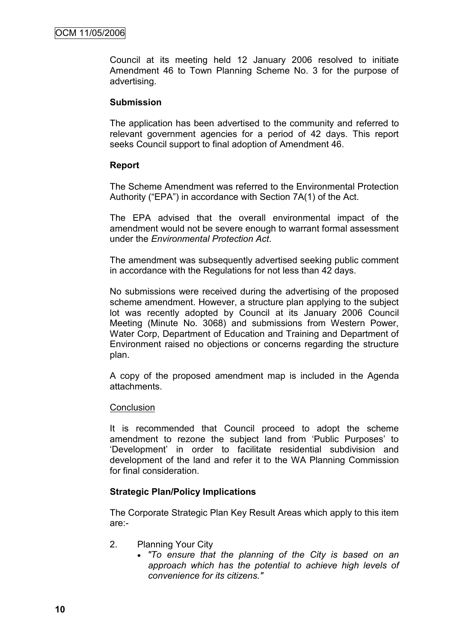Council at its meeting held 12 January 2006 resolved to initiate Amendment 46 to Town Planning Scheme No. 3 for the purpose of advertising.

#### **Submission**

The application has been advertised to the community and referred to relevant government agencies for a period of 42 days. This report seeks Council support to final adoption of Amendment 46.

#### **Report**

The Scheme Amendment was referred to the Environmental Protection Authority ("EPA") in accordance with Section 7A(1) of the Act.

The EPA advised that the overall environmental impact of the amendment would not be severe enough to warrant formal assessment under the *Environmental Protection Act*.

The amendment was subsequently advertised seeking public comment in accordance with the Regulations for not less than 42 days.

No submissions were received during the advertising of the proposed scheme amendment. However, a structure plan applying to the subject lot was recently adopted by Council at its January 2006 Council Meeting (Minute No. 3068) and submissions from Western Power, Water Corp, Department of Education and Training and Department of Environment raised no objections or concerns regarding the structure plan.

A copy of the proposed amendment map is included in the Agenda attachments.

#### **Conclusion**

It is recommended that Council proceed to adopt the scheme amendment to rezone the subject land from "Public Purposes" to "Development" in order to facilitate residential subdivision and development of the land and refer it to the WA Planning Commission for final consideration.

#### **Strategic Plan/Policy Implications**

The Corporate Strategic Plan Key Result Areas which apply to this item are:-

- 2. Planning Your City
	- *"To ensure that the planning of the City is based on an approach which has the potential to achieve high levels of convenience for its citizens."*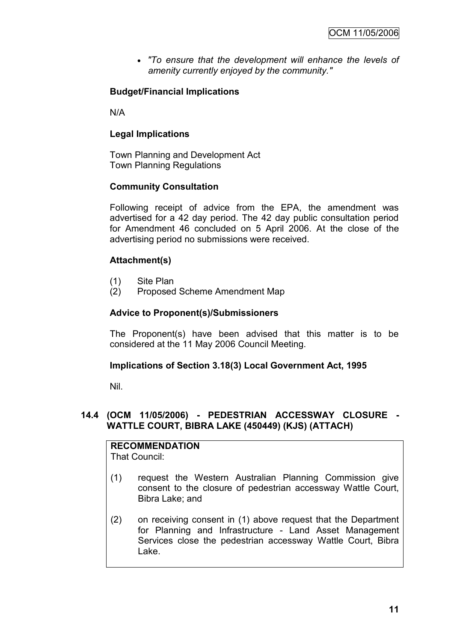*"To ensure that the development will enhance the levels of amenity currently enjoyed by the community."*

### **Budget/Financial Implications**

N/A

### **Legal Implications**

Town Planning and Development Act Town Planning Regulations

### **Community Consultation**

Following receipt of advice from the EPA, the amendment was advertised for a 42 day period. The 42 day public consultation period for Amendment 46 concluded on 5 April 2006. At the close of the advertising period no submissions were received.

### **Attachment(s)**

- (1) Site Plan
- (2) Proposed Scheme Amendment Map

#### **Advice to Proponent(s)/Submissioners**

The Proponent(s) have been advised that this matter is to be considered at the 11 May 2006 Council Meeting.

#### **Implications of Section 3.18(3) Local Government Act, 1995**

Nil.

#### **14.4 (OCM 11/05/2006) - PEDESTRIAN ACCESSWAY CLOSURE - WATTLE COURT, BIBRA LAKE (450449) (KJS) (ATTACH)**

**RECOMMENDATION** That Council:

- (1) request the Western Australian Planning Commission give consent to the closure of pedestrian accessway Wattle Court, Bibra Lake; and
- (2) on receiving consent in (1) above request that the Department for Planning and Infrastructure - Land Asset Management Services close the pedestrian accessway Wattle Court, Bibra Lake.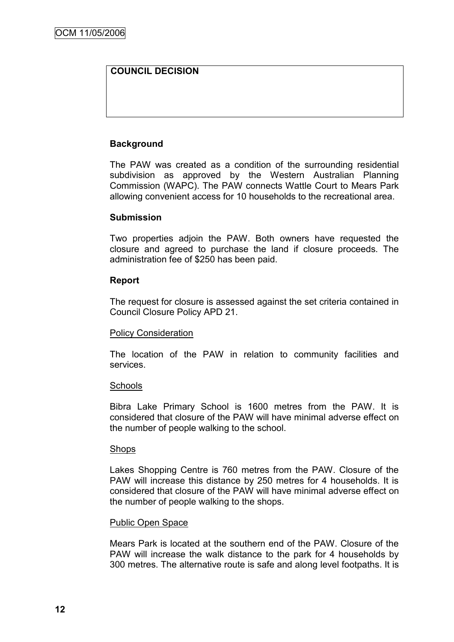### **COUNCIL DECISION**

### **Background**

The PAW was created as a condition of the surrounding residential subdivision as approved by the Western Australian Planning Commission (WAPC). The PAW connects Wattle Court to Mears Park allowing convenient access for 10 households to the recreational area.

#### **Submission**

Two properties adjoin the PAW. Both owners have requested the closure and agreed to purchase the land if closure proceeds. The administration fee of \$250 has been paid.

#### **Report**

The request for closure is assessed against the set criteria contained in Council Closure Policy APD 21.

#### Policy Consideration

The location of the PAW in relation to community facilities and services.

#### **Schools**

Bibra Lake Primary School is 1600 metres from the PAW. It is considered that closure of the PAW will have minimal adverse effect on the number of people walking to the school.

#### **Shops**

Lakes Shopping Centre is 760 metres from the PAW. Closure of the PAW will increase this distance by 250 metres for 4 households. It is considered that closure of the PAW will have minimal adverse effect on the number of people walking to the shops.

#### Public Open Space

Mears Park is located at the southern end of the PAW. Closure of the PAW will increase the walk distance to the park for 4 households by 300 metres. The alternative route is safe and along level footpaths. It is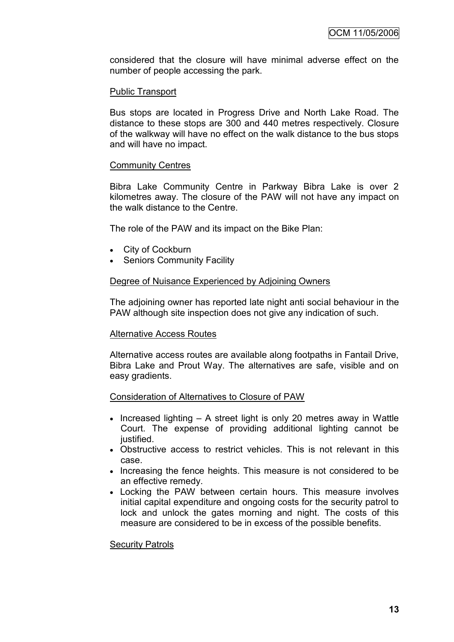considered that the closure will have minimal adverse effect on the number of people accessing the park.

#### Public Transport

Bus stops are located in Progress Drive and North Lake Road. The distance to these stops are 300 and 440 metres respectively. Closure of the walkway will have no effect on the walk distance to the bus stops and will have no impact.

#### Community Centres

Bibra Lake Community Centre in Parkway Bibra Lake is over 2 kilometres away. The closure of the PAW will not have any impact on the walk distance to the Centre.

The role of the PAW and its impact on the Bike Plan:

- City of Cockburn
- Seniors Community Facility

#### Degree of Nuisance Experienced by Adjoining Owners

The adjoining owner has reported late night anti social behaviour in the PAW although site inspection does not give any indication of such.

#### Alternative Access Routes

Alternative access routes are available along footpaths in Fantail Drive, Bibra Lake and Prout Way. The alternatives are safe, visible and on easy gradients.

#### Consideration of Alternatives to Closure of PAW

- $\bullet$  Increased lighting  $-$  A street light is only 20 metres away in Wattle Court. The expense of providing additional lighting cannot be justified.
- Obstructive access to restrict vehicles. This is not relevant in this case.
- Increasing the fence heights. This measure is not considered to be an effective remedy.
- Locking the PAW between certain hours. This measure involves initial capital expenditure and ongoing costs for the security patrol to lock and unlock the gates morning and night. The costs of this measure are considered to be in excess of the possible benefits.

#### Security Patrols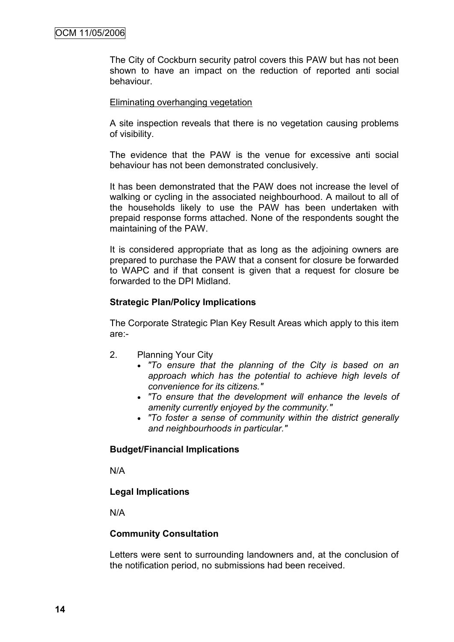The City of Cockburn security patrol covers this PAW but has not been shown to have an impact on the reduction of reported anti social behaviour.

#### Eliminating overhanging vegetation

A site inspection reveals that there is no vegetation causing problems of visibility.

The evidence that the PAW is the venue for excessive anti social behaviour has not been demonstrated conclusively.

It has been demonstrated that the PAW does not increase the level of walking or cycling in the associated neighbourhood. A mailout to all of the households likely to use the PAW has been undertaken with prepaid response forms attached. None of the respondents sought the maintaining of the PAW.

It is considered appropriate that as long as the adjoining owners are prepared to purchase the PAW that a consent for closure be forwarded to WAPC and if that consent is given that a request for closure be forwarded to the DPI Midland.

#### **Strategic Plan/Policy Implications**

The Corporate Strategic Plan Key Result Areas which apply to this item are:-

- 2. Planning Your City
	- *"To ensure that the planning of the City is based on an approach which has the potential to achieve high levels of convenience for its citizens."*
	- *"To ensure that the development will enhance the levels of amenity currently enjoyed by the community."*
	- *"To foster a sense of community within the district generally and neighbourhoods in particular."*

#### **Budget/Financial Implications**

N/A

#### **Legal Implications**

N/A

#### **Community Consultation**

Letters were sent to surrounding landowners and, at the conclusion of the notification period, no submissions had been received.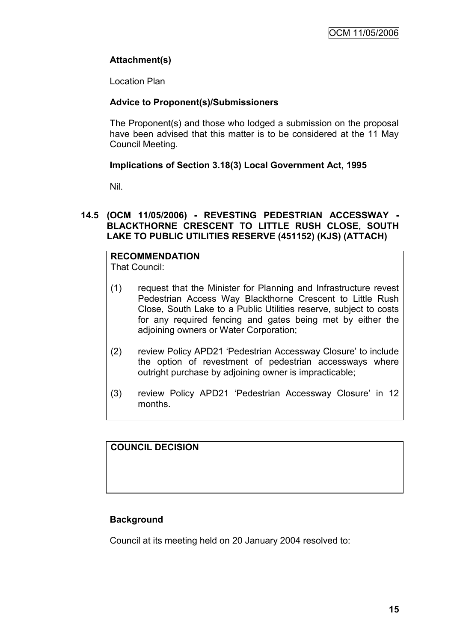### **Attachment(s)**

Location Plan

### **Advice to Proponent(s)/Submissioners**

The Proponent(s) and those who lodged a submission on the proposal have been advised that this matter is to be considered at the 11 May Council Meeting.

### **Implications of Section 3.18(3) Local Government Act, 1995**

Nil.

#### **14.5 (OCM 11/05/2006) - REVESTING PEDESTRIAN ACCESSWAY - BLACKTHORNE CRESCENT TO LITTLE RUSH CLOSE, SOUTH LAKE TO PUBLIC UTILITIES RESERVE (451152) (KJS) (ATTACH)**

#### **RECOMMENDATION** That Council:

- (1) request that the Minister for Planning and Infrastructure revest Pedestrian Access Way Blackthorne Crescent to Little Rush Close, South Lake to a Public Utilities reserve, subject to costs for any required fencing and gates being met by either the adjoining owners or Water Corporation;
- (2) review Policy APD21 "Pedestrian Accessway Closure" to include the option of revestment of pedestrian accessways where outright purchase by adjoining owner is impracticable;
- (3) review Policy APD21 "Pedestrian Accessway Closure" in 12 months.

### **COUNCIL DECISION**

### **Background**

Council at its meeting held on 20 January 2004 resolved to: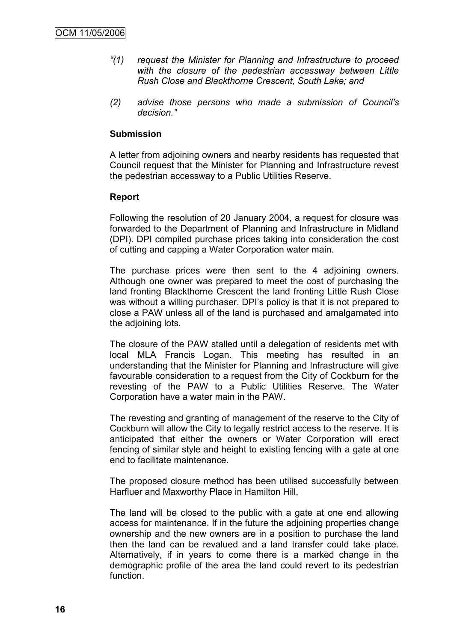- *"(1) request the Minister for Planning and Infrastructure to proceed with the closure of the pedestrian accessway between Little Rush Close and Blackthorne Crescent, South Lake; and*
- *(2) advise those persons who made a submission of Council's decision."*

#### **Submission**

A letter from adjoining owners and nearby residents has requested that Council request that the Minister for Planning and Infrastructure revest the pedestrian accessway to a Public Utilities Reserve.

#### **Report**

Following the resolution of 20 January 2004, a request for closure was forwarded to the Department of Planning and Infrastructure in Midland (DPI). DPI compiled purchase prices taking into consideration the cost of cutting and capping a Water Corporation water main.

The purchase prices were then sent to the 4 adjoining owners. Although one owner was prepared to meet the cost of purchasing the land fronting Blackthorne Crescent the land fronting Little Rush Close was without a willing purchaser. DPI's policy is that it is not prepared to close a PAW unless all of the land is purchased and amalgamated into the adjoining lots.

The closure of the PAW stalled until a delegation of residents met with local MLA Francis Logan. This meeting has resulted in an understanding that the Minister for Planning and Infrastructure will give favourable consideration to a request from the City of Cockburn for the revesting of the PAW to a Public Utilities Reserve. The Water Corporation have a water main in the PAW.

The revesting and granting of management of the reserve to the City of Cockburn will allow the City to legally restrict access to the reserve. It is anticipated that either the owners or Water Corporation will erect fencing of similar style and height to existing fencing with a gate at one end to facilitate maintenance.

The proposed closure method has been utilised successfully between Harfluer and Maxworthy Place in Hamilton Hill.

The land will be closed to the public with a gate at one end allowing access for maintenance. If in the future the adjoining properties change ownership and the new owners are in a position to purchase the land then the land can be revalued and a land transfer could take place. Alternatively, if in years to come there is a marked change in the demographic profile of the area the land could revert to its pedestrian function.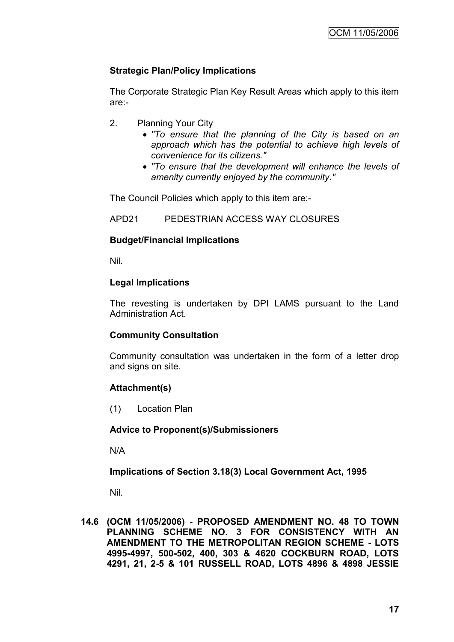### **Strategic Plan/Policy Implications**

The Corporate Strategic Plan Key Result Areas which apply to this item are:-

- 2. Planning Your City
	- *"To ensure that the planning of the City is based on an approach which has the potential to achieve high levels of convenience for its citizens."*
	- *"To ensure that the development will enhance the levels of amenity currently enjoyed by the community."*

The Council Policies which apply to this item are:-

APD21 PEDESTRIAN ACCESS WAY CLOSURES

#### **Budget/Financial Implications**

Nil.

#### **Legal Implications**

The revesting is undertaken by DPI LAMS pursuant to the Land Administration Act.

#### **Community Consultation**

Community consultation was undertaken in the form of a letter drop and signs on site.

#### **Attachment(s)**

(1) Location Plan

#### **Advice to Proponent(s)/Submissioners**

N/A

**Implications of Section 3.18(3) Local Government Act, 1995**

Nil.

**14.6 (OCM 11/05/2006) - PROPOSED AMENDMENT NO. 48 TO TOWN PLANNING SCHEME NO. 3 FOR CONSISTENCY WITH AN AMENDMENT TO THE METROPOLITAN REGION SCHEME - LOTS 4995-4997, 500-502, 400, 303 & 4620 COCKBURN ROAD, LOTS 4291, 21, 2-5 & 101 RUSSELL ROAD, LOTS 4896 & 4898 JESSIE**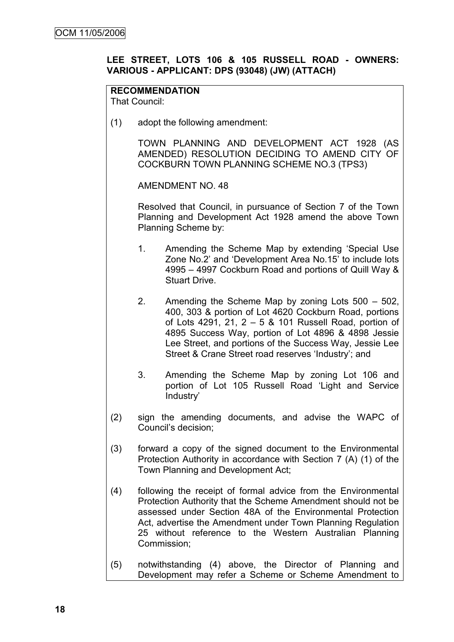### **LEE STREET, LOTS 106 & 105 RUSSELL ROAD - OWNERS: VARIOUS - APPLICANT: DPS (93048) (JW) (ATTACH)**

### **RECOMMENDATION**

That Council:

(1) adopt the following amendment:

TOWN PLANNING AND DEVELOPMENT ACT 1928 (AS AMENDED) RESOLUTION DECIDING TO AMEND CITY OF COCKBURN TOWN PLANNING SCHEME NO.3 (TPS3)

AMENDMENT NO. 48

Resolved that Council, in pursuance of Section 7 of the Town Planning and Development Act 1928 amend the above Town Planning Scheme by:

- 1. Amending the Scheme Map by extending "Special Use Zone No.2" and "Development Area No.15" to include lots 4995 – 4997 Cockburn Road and portions of Quill Way & Stuart Drive.
- 2. Amending the Scheme Map by zoning Lots 500 502, 400, 303 & portion of Lot 4620 Cockburn Road, portions of Lots 4291, 21, 2 – 5 & 101 Russell Road, portion of 4895 Success Way, portion of Lot 4896 & 4898 Jessie Lee Street, and portions of the Success Way, Jessie Lee Street & Crane Street road reserves 'Industry'; and
- 3. Amending the Scheme Map by zoning Lot 106 and portion of Lot 105 Russell Road "Light and Service Industry"
- (2) sign the amending documents, and advise the WAPC of Council"s decision;
- (3) forward a copy of the signed document to the Environmental Protection Authority in accordance with Section 7 (A) (1) of the Town Planning and Development Act;
- (4) following the receipt of formal advice from the Environmental Protection Authority that the Scheme Amendment should not be assessed under Section 48A of the Environmental Protection Act, advertise the Amendment under Town Planning Regulation 25 without reference to the Western Australian Planning Commission;
- (5) notwithstanding (4) above, the Director of Planning and Development may refer a Scheme or Scheme Amendment to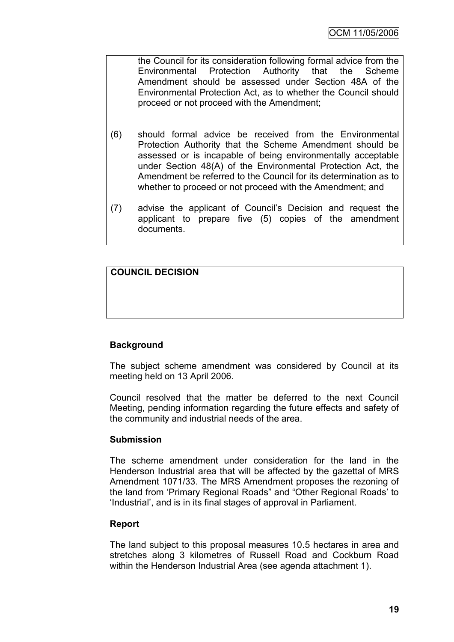the Council for its consideration following formal advice from the Environmental Protection Authority that the Scheme Amendment should be assessed under Section 48A of the Environmental Protection Act, as to whether the Council should proceed or not proceed with the Amendment;

- (6) should formal advice be received from the Environmental Protection Authority that the Scheme Amendment should be assessed or is incapable of being environmentally acceptable under Section 48(A) of the Environmental Protection Act, the Amendment be referred to the Council for its determination as to whether to proceed or not proceed with the Amendment; and
- (7) advise the applicant of Council"s Decision and request the applicant to prepare five (5) copies of the amendment documents.

### **COUNCIL DECISION**

### **Background**

The subject scheme amendment was considered by Council at its meeting held on 13 April 2006.

Council resolved that the matter be deferred to the next Council Meeting, pending information regarding the future effects and safety of the community and industrial needs of the area.

#### **Submission**

The scheme amendment under consideration for the land in the Henderson Industrial area that will be affected by the gazettal of MRS Amendment 1071/33. The MRS Amendment proposes the rezoning of the land from "Primary Regional Roads" and "Other Regional Roads" to "Industrial", and is in its final stages of approval in Parliament.

#### **Report**

The land subject to this proposal measures 10.5 hectares in area and stretches along 3 kilometres of Russell Road and Cockburn Road within the Henderson Industrial Area (see agenda attachment 1).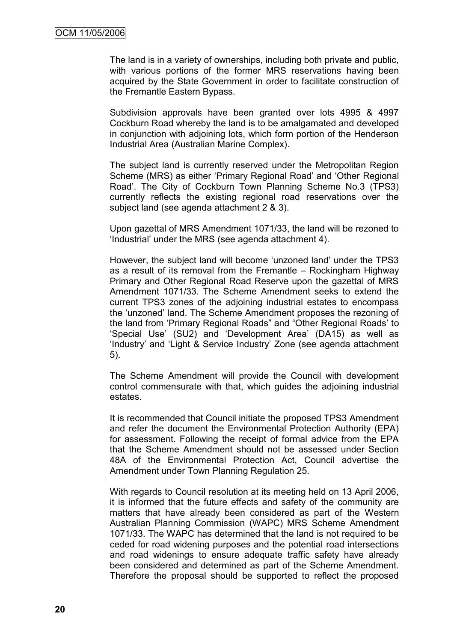The land is in a variety of ownerships, including both private and public, with various portions of the former MRS reservations having been acquired by the State Government in order to facilitate construction of the Fremantle Eastern Bypass.

Subdivision approvals have been granted over lots 4995 & 4997 Cockburn Road whereby the land is to be amalgamated and developed in conjunction with adjoining lots, which form portion of the Henderson Industrial Area (Australian Marine Complex).

The subject land is currently reserved under the Metropolitan Region Scheme (MRS) as either "Primary Regional Road" and "Other Regional Road". The City of Cockburn Town Planning Scheme No.3 (TPS3) currently reflects the existing regional road reservations over the subject land (see agenda attachment 2 & 3).

Upon gazettal of MRS Amendment 1071/33, the land will be rezoned to "Industrial" under the MRS (see agenda attachment 4).

However, the subject land will become "unzoned land" under the TPS3 as a result of its removal from the Fremantle – Rockingham Highway Primary and Other Regional Road Reserve upon the gazettal of MRS Amendment 1071/33. The Scheme Amendment seeks to extend the current TPS3 zones of the adjoining industrial estates to encompass the "unzoned" land. The Scheme Amendment proposes the rezoning of the land from "Primary Regional Roads" and "Other Regional Roads" to "Special Use" (SU2) and "Development Area" (DA15) as well as "Industry" and "Light & Service Industry" Zone (see agenda attachment 5).

The Scheme Amendment will provide the Council with development control commensurate with that, which guides the adjoining industrial estates.

It is recommended that Council initiate the proposed TPS3 Amendment and refer the document the Environmental Protection Authority (EPA) for assessment. Following the receipt of formal advice from the EPA that the Scheme Amendment should not be assessed under Section 48A of the Environmental Protection Act, Council advertise the Amendment under Town Planning Regulation 25.

With regards to Council resolution at its meeting held on 13 April 2006, it is informed that the future effects and safety of the community are matters that have already been considered as part of the Western Australian Planning Commission (WAPC) MRS Scheme Amendment 1071/33. The WAPC has determined that the land is not required to be ceded for road widening purposes and the potential road intersections and road widenings to ensure adequate traffic safety have already been considered and determined as part of the Scheme Amendment. Therefore the proposal should be supported to reflect the proposed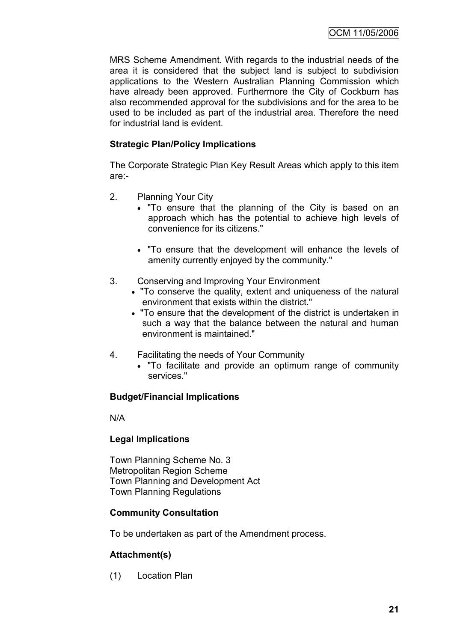MRS Scheme Amendment. With regards to the industrial needs of the area it is considered that the subject land is subject to subdivision applications to the Western Australian Planning Commission which have already been approved. Furthermore the City of Cockburn has also recommended approval for the subdivisions and for the area to be used to be included as part of the industrial area. Therefore the need for industrial land is evident.

### **Strategic Plan/Policy Implications**

The Corporate Strategic Plan Key Result Areas which apply to this item are:-

- 2. Planning Your City
	- "To ensure that the planning of the City is based on an approach which has the potential to achieve high levels of convenience for its citizens."
	- "To ensure that the development will enhance the levels of amenity currently enjoyed by the community."
- 3. Conserving and Improving Your Environment
	- "To conserve the quality, extent and uniqueness of the natural environment that exists within the district."
	- "To ensure that the development of the district is undertaken in such a way that the balance between the natural and human environment is maintained."
- 4. Facilitating the needs of Your Community
	- "To facilitate and provide an optimum range of community services."

### **Budget/Financial Implications**

N/A

### **Legal Implications**

Town Planning Scheme No. 3 Metropolitan Region Scheme Town Planning and Development Act Town Planning Regulations

#### **Community Consultation**

To be undertaken as part of the Amendment process.

### **Attachment(s)**

(1) Location Plan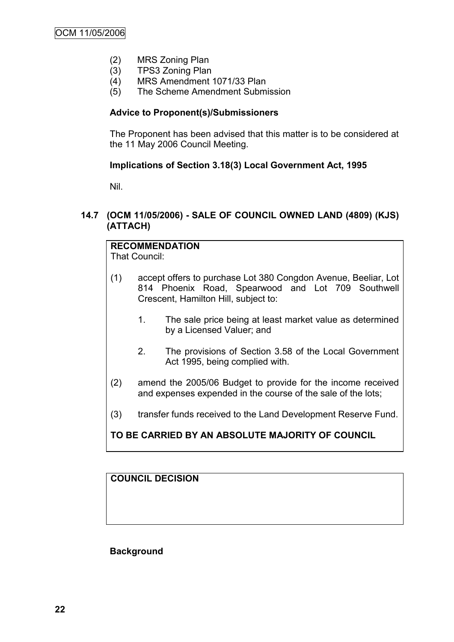- (2) MRS Zoning Plan
- (3) TPS3 Zoning Plan
- (4) MRS Amendment 1071/33 Plan
- (5) The Scheme Amendment Submission

#### **Advice to Proponent(s)/Submissioners**

The Proponent has been advised that this matter is to be considered at the 11 May 2006 Council Meeting.

### **Implications of Section 3.18(3) Local Government Act, 1995**

Nil.

### **14.7 (OCM 11/05/2006) - SALE OF COUNCIL OWNED LAND (4809) (KJS) (ATTACH)**

# **RECOMMENDATION**

That Council:

- (1) accept offers to purchase Lot 380 Congdon Avenue, Beeliar, Lot 814 Phoenix Road, Spearwood and Lot 709 Southwell Crescent, Hamilton Hill, subject to:
	- 1. The sale price being at least market value as determined by a Licensed Valuer; and
	- 2. The provisions of Section 3.58 of the Local Government Act 1995, being complied with.
- (2) amend the 2005/06 Budget to provide for the income received and expenses expended in the course of the sale of the lots;
- (3) transfer funds received to the Land Development Reserve Fund.

### **TO BE CARRIED BY AN ABSOLUTE MAJORITY OF COUNCIL**

**COUNCIL DECISION**

**Background**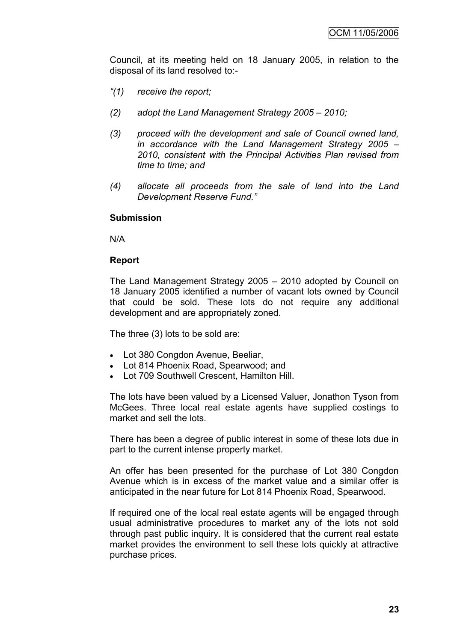Council, at its meeting held on 18 January 2005, in relation to the disposal of its land resolved to:-

- *"(1) receive the report;*
- *(2) adopt the Land Management Strategy 2005 – 2010;*
- *(3) proceed with the development and sale of Council owned land, in accordance with the Land Management Strategy 2005 – 2010, consistent with the Principal Activities Plan revised from time to time; and*
- *(4) allocate all proceeds from the sale of land into the Land Development Reserve Fund."*

#### **Submission**

N/A

#### **Report**

The Land Management Strategy 2005 – 2010 adopted by Council on 18 January 2005 identified a number of vacant lots owned by Council that could be sold. These lots do not require any additional development and are appropriately zoned.

The three (3) lots to be sold are:

- Lot 380 Congdon Avenue, Beeliar,
- Lot 814 Phoenix Road, Spearwood; and
- Lot 709 Southwell Crescent, Hamilton Hill.

The lots have been valued by a Licensed Valuer, Jonathon Tyson from McGees. Three local real estate agents have supplied costings to market and sell the lots.

There has been a degree of public interest in some of these lots due in part to the current intense property market.

An offer has been presented for the purchase of Lot 380 Congdon Avenue which is in excess of the market value and a similar offer is anticipated in the near future for Lot 814 Phoenix Road, Spearwood.

If required one of the local real estate agents will be engaged through usual administrative procedures to market any of the lots not sold through past public inquiry. It is considered that the current real estate market provides the environment to sell these lots quickly at attractive purchase prices.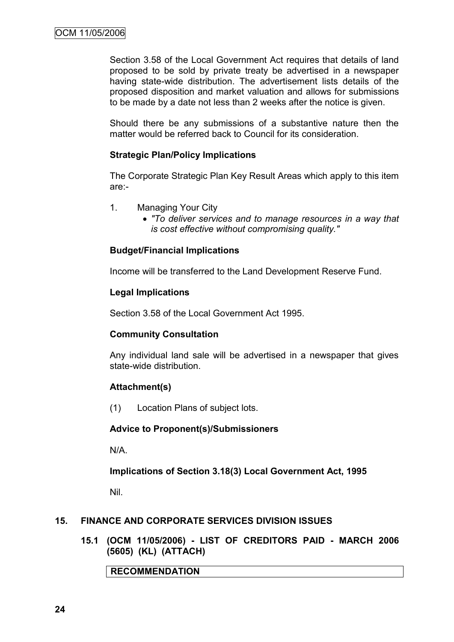Section 3.58 of the Local Government Act requires that details of land proposed to be sold by private treaty be advertised in a newspaper having state-wide distribution. The advertisement lists details of the proposed disposition and market valuation and allows for submissions to be made by a date not less than 2 weeks after the notice is given.

Should there be any submissions of a substantive nature then the matter would be referred back to Council for its consideration.

#### **Strategic Plan/Policy Implications**

The Corporate Strategic Plan Key Result Areas which apply to this item are:-

- 1. Managing Your City
	- *"To deliver services and to manage resources in a way that is cost effective without compromising quality."*

#### **Budget/Financial Implications**

Income will be transferred to the Land Development Reserve Fund.

#### **Legal Implications**

Section 3.58 of the Local Government Act 1995.

#### **Community Consultation**

Any individual land sale will be advertised in a newspaper that gives state-wide distribution.

#### **Attachment(s)**

(1) Location Plans of subject lots.

#### **Advice to Proponent(s)/Submissioners**

N/A.

**Implications of Section 3.18(3) Local Government Act, 1995**

Nil.

#### **15. FINANCE AND CORPORATE SERVICES DIVISION ISSUES**

**15.1 (OCM 11/05/2006) - LIST OF CREDITORS PAID - MARCH 2006 (5605) (KL) (ATTACH)**

**RECOMMENDATION**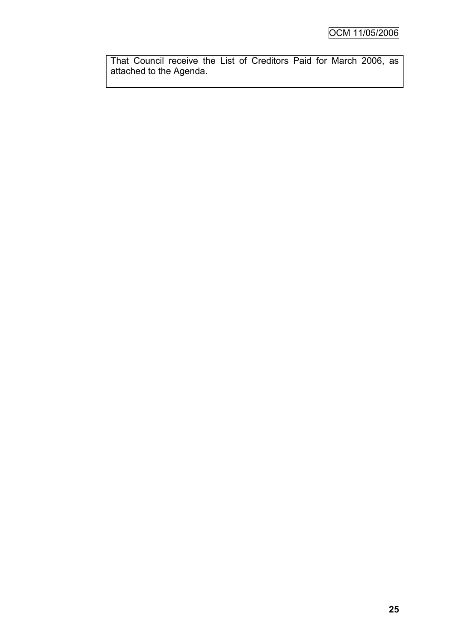That Council receive the List of Creditors Paid for March 2006, as attached to the Agenda.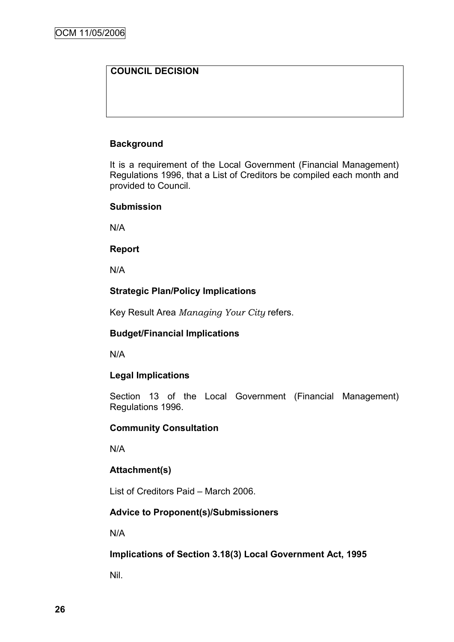### **COUNCIL DECISION**

### **Background**

It is a requirement of the Local Government (Financial Management) Regulations 1996, that a List of Creditors be compiled each month and provided to Council.

#### **Submission**

N/A

#### **Report**

N/A

### **Strategic Plan/Policy Implications**

Key Result Area *Managing Your City* refers.

#### **Budget/Financial Implications**

N/A

#### **Legal Implications**

Section 13 of the Local Government (Financial Management) Regulations 1996.

#### **Community Consultation**

N/A

#### **Attachment(s)**

List of Creditors Paid – March 2006.

### **Advice to Proponent(s)/Submissioners**

N/A

**Implications of Section 3.18(3) Local Government Act, 1995**

Nil.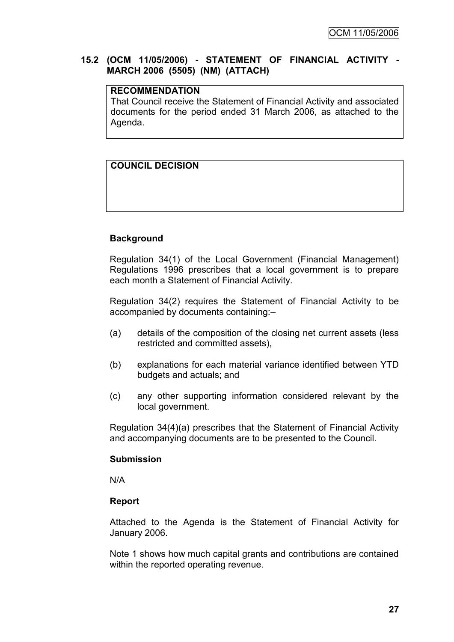### **15.2 (OCM 11/05/2006) - STATEMENT OF FINANCIAL ACTIVITY - MARCH 2006 (5505) (NM) (ATTACH)**

### **RECOMMENDATION**

That Council receive the Statement of Financial Activity and associated documents for the period ended 31 March 2006, as attached to the Agenda.

### **COUNCIL DECISION**

### **Background**

Regulation 34(1) of the Local Government (Financial Management) Regulations 1996 prescribes that a local government is to prepare each month a Statement of Financial Activity.

Regulation 34(2) requires the Statement of Financial Activity to be accompanied by documents containing:–

- (a) details of the composition of the closing net current assets (less restricted and committed assets),
- (b) explanations for each material variance identified between YTD budgets and actuals; and
- (c) any other supporting information considered relevant by the local government.

Regulation 34(4)(a) prescribes that the Statement of Financial Activity and accompanying documents are to be presented to the Council.

#### **Submission**

N/A

#### **Report**

Attached to the Agenda is the Statement of Financial Activity for January 2006.

Note 1 shows how much capital grants and contributions are contained within the reported operating revenue.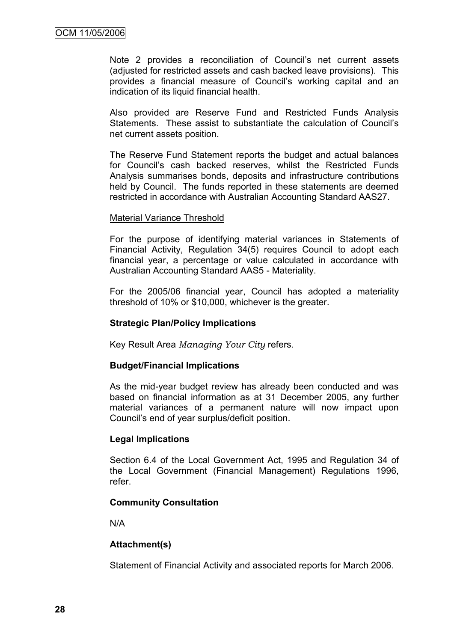Note 2 provides a reconciliation of Council's net current assets (adjusted for restricted assets and cash backed leave provisions). This provides a financial measure of Council"s working capital and an indication of its liquid financial health.

Also provided are Reserve Fund and Restricted Funds Analysis Statements. These assist to substantiate the calculation of Council"s net current assets position.

The Reserve Fund Statement reports the budget and actual balances for Council"s cash backed reserves, whilst the Restricted Funds Analysis summarises bonds, deposits and infrastructure contributions held by Council. The funds reported in these statements are deemed restricted in accordance with Australian Accounting Standard AAS27.

#### Material Variance Threshold

For the purpose of identifying material variances in Statements of Financial Activity, Regulation 34(5) requires Council to adopt each financial year, a percentage or value calculated in accordance with Australian Accounting Standard AAS5 - Materiality.

For the 2005/06 financial year, Council has adopted a materiality threshold of 10% or \$10,000, whichever is the greater.

#### **Strategic Plan/Policy Implications**

Key Result Area *Managing Your City* refers.

#### **Budget/Financial Implications**

As the mid-year budget review has already been conducted and was based on financial information as at 31 December 2005, any further material variances of a permanent nature will now impact upon Council"s end of year surplus/deficit position.

#### **Legal Implications**

Section 6.4 of the Local Government Act, 1995 and Regulation 34 of the Local Government (Financial Management) Regulations 1996, refer.

#### **Community Consultation**

N/A

#### **Attachment(s)**

Statement of Financial Activity and associated reports for March 2006.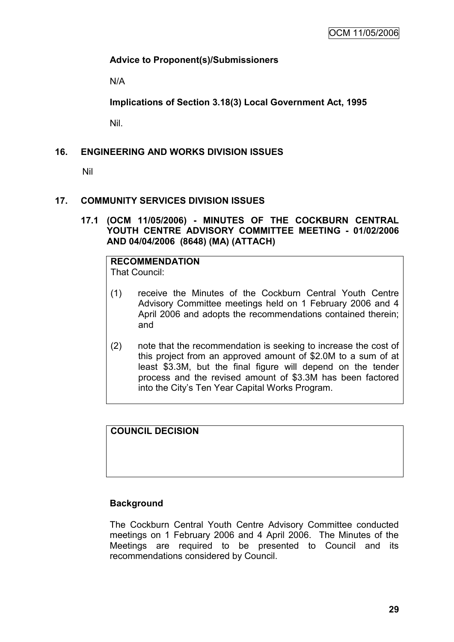### **Advice to Proponent(s)/Submissioners**

N/A

**Implications of Section 3.18(3) Local Government Act, 1995**

Nil.

### **16. ENGINEERING AND WORKS DIVISION ISSUES**

Nil

#### **17. COMMUNITY SERVICES DIVISION ISSUES**

**17.1 (OCM 11/05/2006) - MINUTES OF THE COCKBURN CENTRAL YOUTH CENTRE ADVISORY COMMITTEE MEETING - 01/02/2006 AND 04/04/2006 (8648) (MA) (ATTACH)**

#### **RECOMMENDATION** That Council:

- (1) receive the Minutes of the Cockburn Central Youth Centre Advisory Committee meetings held on 1 February 2006 and 4 April 2006 and adopts the recommendations contained therein; and
- (2) note that the recommendation is seeking to increase the cost of this project from an approved amount of \$2.0M to a sum of at least \$3.3M, but the final figure will depend on the tender process and the revised amount of \$3.3M has been factored into the City"s Ten Year Capital Works Program.

### **COUNCIL DECISION**

#### **Background**

The Cockburn Central Youth Centre Advisory Committee conducted meetings on 1 February 2006 and 4 April 2006. The Minutes of the Meetings are required to be presented to Council and its recommendations considered by Council.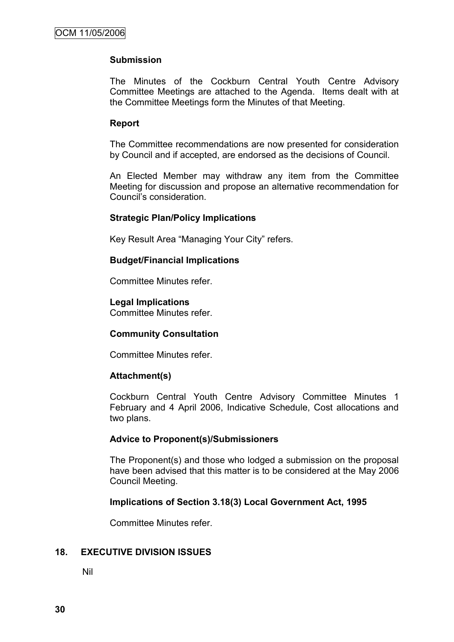#### **Submission**

The Minutes of the Cockburn Central Youth Centre Advisory Committee Meetings are attached to the Agenda. Items dealt with at the Committee Meetings form the Minutes of that Meeting.

#### **Report**

The Committee recommendations are now presented for consideration by Council and if accepted, are endorsed as the decisions of Council.

An Elected Member may withdraw any item from the Committee Meeting for discussion and propose an alternative recommendation for Council"s consideration.

#### **Strategic Plan/Policy Implications**

Key Result Area "Managing Your City" refers.

#### **Budget/Financial Implications**

Committee Minutes refer.

#### **Legal Implications**

Committee Minutes refer.

#### **Community Consultation**

Committee Minutes refer.

#### **Attachment(s)**

Cockburn Central Youth Centre Advisory Committee Minutes 1 February and 4 April 2006, Indicative Schedule, Cost allocations and two plans.

#### **Advice to Proponent(s)/Submissioners**

The Proponent(s) and those who lodged a submission on the proposal have been advised that this matter is to be considered at the May 2006 Council Meeting.

#### **Implications of Section 3.18(3) Local Government Act, 1995**

Committee Minutes refer.

### **18. EXECUTIVE DIVISION ISSUES**

Nil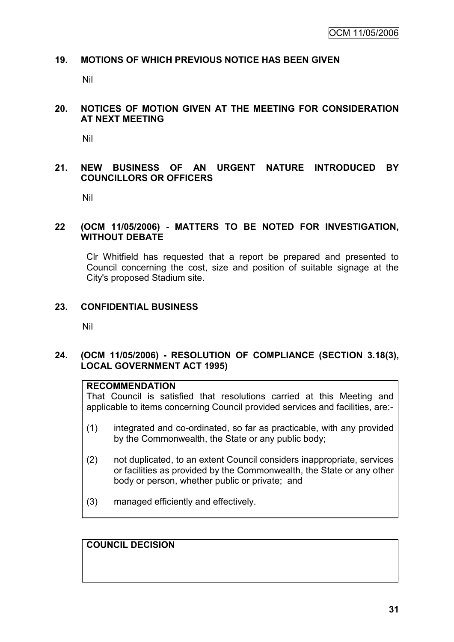#### **19. MOTIONS OF WHICH PREVIOUS NOTICE HAS BEEN GIVEN**

Nil

#### **20. NOTICES OF MOTION GIVEN AT THE MEETING FOR CONSIDERATION AT NEXT MEETING**

Nil

### **21. NEW BUSINESS OF AN URGENT NATURE INTRODUCED BY COUNCILLORS OR OFFICERS**

Nil

#### **22 (OCM 11/05/2006) - MATTERS TO BE NOTED FOR INVESTIGATION, WITHOUT DEBATE**

Clr Whitfield has requested that a report be prepared and presented to Council concerning the cost, size and position of suitable signage at the City's proposed Stadium site.

#### **23. CONFIDENTIAL BUSINESS**

Nil

#### **24. (OCM 11/05/2006) - RESOLUTION OF COMPLIANCE (SECTION 3.18(3), LOCAL GOVERNMENT ACT 1995)**

### **RECOMMENDATION**

That Council is satisfied that resolutions carried at this Meeting and applicable to items concerning Council provided services and facilities, are:-

- (1) integrated and co-ordinated, so far as practicable, with any provided by the Commonwealth, the State or any public body;
- (2) not duplicated, to an extent Council considers inappropriate, services or facilities as provided by the Commonwealth, the State or any other body or person, whether public or private; and
- (3) managed efficiently and effectively.

### **COUNCIL DECISION**